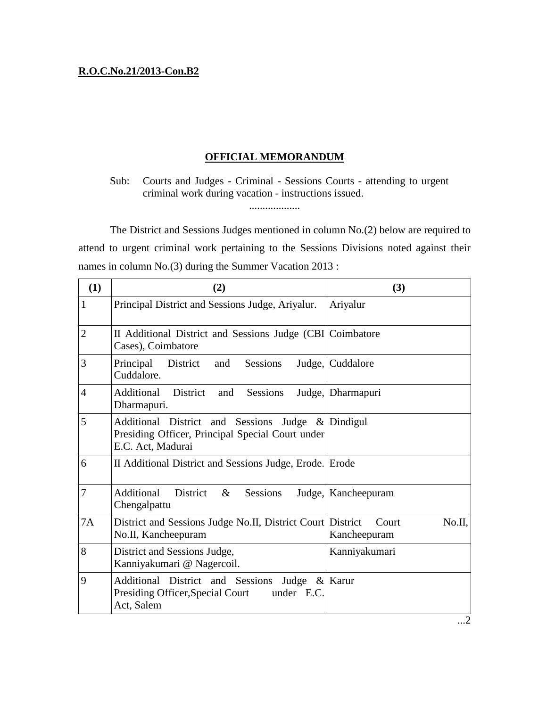## **R.O.C.No.21/2013-Con.B2**

## **OFFICIAL MEMORANDUM**

Sub: Courts and Judges - Criminal - Sessions Courts - attending to urgent criminal work during vacation - instructions issued.

...................

The District and Sessions Judges mentioned in column No.(2) below are required to attend to urgent criminal work pertaining to the Sessions Divisions noted against their names in column No.(3) during the Summer Vacation 2013 :

| (1)            | (2)                                                                                                                        | (3)                             |
|----------------|----------------------------------------------------------------------------------------------------------------------------|---------------------------------|
| 1              | Principal District and Sessions Judge, Ariyalur.                                                                           | Ariyalur                        |
| $\overline{2}$ | II Additional District and Sessions Judge (CBI Coimbatore<br>Cases), Coimbatore                                            |                                 |
| 3              | Principal<br><b>Sessions</b><br>District and<br>Cuddalore.                                                                 | Judge, Cuddalore                |
| $\overline{4}$ | Additional<br>District<br>Sessions<br>and<br>Dharmapuri.                                                                   | Judge, Dharmapuri               |
| 5              | Additional District and Sessions Judge & Dindigul<br>Presiding Officer, Principal Special Court under<br>E.C. Act, Madurai |                                 |
| 6              | II Additional District and Sessions Judge, Erode. Erode                                                                    |                                 |
| 7              | District $\&$<br>Additional<br>Sessions<br>Chengalpattu                                                                    | Judge, Kancheepuram             |
| 7A             | District and Sessions Judge No.II, District Court District<br>No.II, Kancheepuram                                          | No.II,<br>Court<br>Kancheepuram |
| 8              | District and Sessions Judge,<br>Kanniyakumari @ Nagercoil.                                                                 | Kanniyakumari                   |
| 9              | Additional District and Sessions Judge & Karur<br><b>Presiding Officer, Special Court</b><br>under E.C.<br>Act, Salem      |                                 |

...2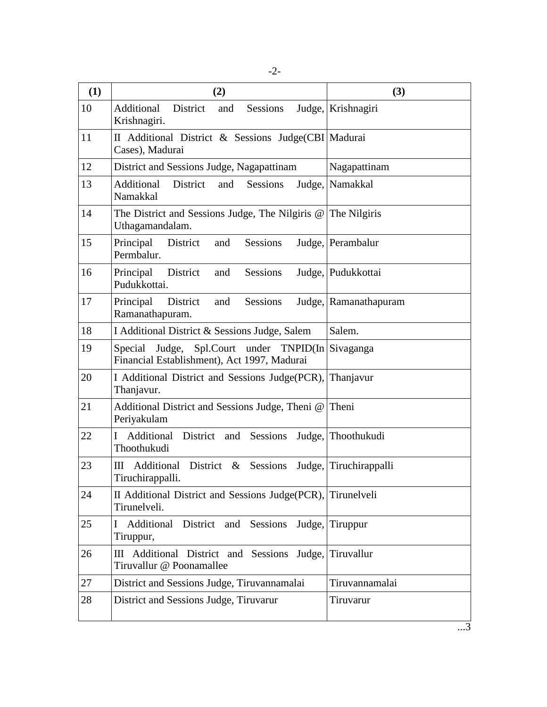| (1) | (2)                                                                                              | (3)                    |
|-----|--------------------------------------------------------------------------------------------------|------------------------|
| 10  | Additional<br>District<br>and<br>Sessions<br>Krishnagiri.                                        | Judge, Krishnagiri     |
| 11  | II Additional District & Sessions Judge(CBI Madurai<br>Cases), Madurai                           |                        |
| 12  | District and Sessions Judge, Nagapattinam                                                        | Nagapattinam           |
| 13  | District<br>Additional<br>and<br>Sessions<br>Namakkal                                            | Judge, Namakkal        |
| 14  | The District and Sessions Judge, The Nilgiris $@ $<br>Uthagamandalam.                            | The Nilgiris           |
| 15  | Sessions<br>Principal<br>District<br>and<br>Permbalur.                                           | Judge, Perambalur      |
| 16  | Principal<br>District<br>Sessions<br>and<br>Pudukkottai.                                         | Judge, Pudukkottai     |
| 17  | Principal<br>District<br>Sessions<br>and<br>Ramanathapuram.                                      | Judge, Ramanathapuram  |
| 18  | I Additional District & Sessions Judge, Salem                                                    | Salem.                 |
| 19  | Special Judge, Spl.Court under TNPID(In Sivaganga<br>Financial Establishment), Act 1997, Madurai |                        |
| 20  | I Additional District and Sessions Judge(PCR),<br>Thanjavur.                                     | Thanjavur              |
| 21  | Additional District and Sessions Judge, Theni @ Theni<br>Periyakulam                             |                        |
| 22  | Additional<br>Sessions<br>District and<br>Ι<br>Thoothukudi                                       | Judge, Thoothukudi     |
| 23  | Additional District &<br>Sessions<br>Ш<br>Tiruchirappalli.                                       | Judge, Tiruchirappalli |
| 24  | II Additional District and Sessions Judge(PCR), Tirunelveli<br>Tirunelveli.                      |                        |
| 25  | Additional<br>District and<br>Sessions<br>L<br>Tiruppur,                                         | Judge, Tiruppur        |
| 26  | Additional District and Sessions Judge, Tiruvallur<br>Ш<br>Tiruvallur @ Poonamallee              |                        |
| 27  | District and Sessions Judge, Tiruvannamalai                                                      | Tiruvannamalai         |
| 28  | District and Sessions Judge, Tiruvarur                                                           | Tiruvarur              |